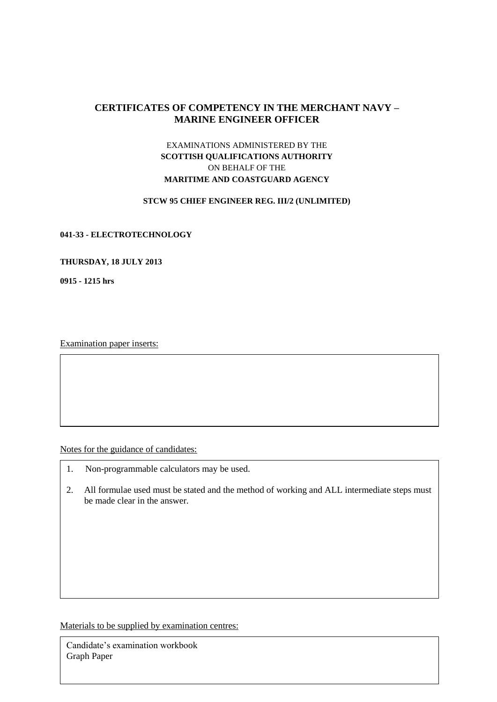# **CERTIFICATES OF COMPETENCY IN THE MERCHANT NAVY – MARINE ENGINEER OFFICER**

# EXAMINATIONS ADMINISTERED BY THE **SCOTTISH QUALIFICATIONS AUTHORITY** ON BEHALF OF THE **MARITIME AND COASTGUARD AGENCY**

#### **STCW 95 CHIEF ENGINEER REG. III/2 (UNLIMITED)**

#### **041-33 - ELECTROTECHNOLOGY**

#### **THURSDAY, 18 JULY 2013**

**0915 - 1215 hrs**

Examination paper inserts:

Notes for the guidance of candidates:

- 1. Non-programmable calculators may be used.
- 2. All formulae used must be stated and the method of working and ALL intermediate steps must be made clear in the answer.

Materials to be supplied by examination centres:

Candidate's examination workbook Graph Paper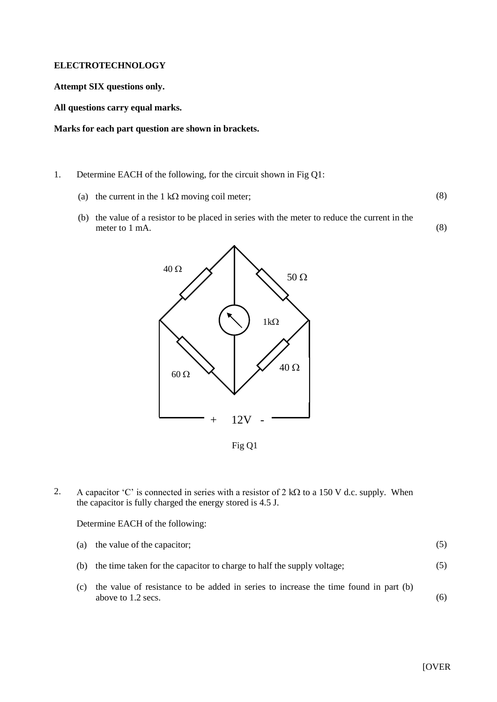#### **ELECTROTECHNOLOGY**

**Attempt SIX questions only.**

**All questions carry equal marks.**

**Marks for each part question are shown in brackets.**

- 1. Determine EACH of the following, for the circuit shown in Fig Q1:
	- (a) the current in the 1 k $\Omega$  moving coil meter;
	- (b) the value of a resistor to be placed in series with the meter to reduce the current in the meter to 1 mA. (8)



Fig Q1

2. A capacitor 'C' is connected in series with a resistor of 2 k $\Omega$  to a 150 V d.c. supply. When the capacitor is fully charged the energy stored is 4.5 J.

### Determine EACH of the following:

|     | (a) the value of the capacitor;                                                                            |     |
|-----|------------------------------------------------------------------------------------------------------------|-----|
|     | (b) the time taken for the capacitor to charge to half the supply voltage;                                 | (5) |
| (c) | the value of resistance to be added in series to increase the time found in part (b)<br>above to 1.2 secs. | (6) |

(8)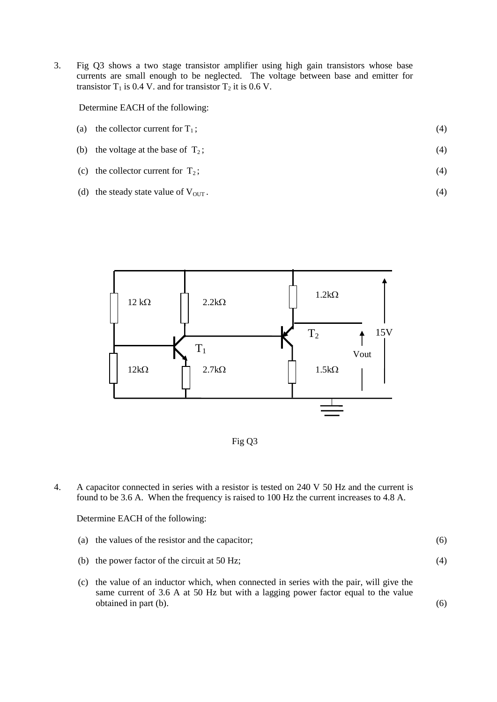3. Fig Q3 shows a two stage transistor amplifier using high gain transistors whose base currents are small enough to be neglected. The voltage between base and emitter for transistor  $T_1$  is 0.4 V. and for transistor  $T_2$  it is 0.6 V.

Determine EACH of the following:

- (a) the collector current for  $T_1$ ; (4)
- (b) the voltage at the base of  $T_2$ ; (4)
- (c) the collector current for  $T_2$ ; (4)
- (d) the steady state value of  $V_{\text{OUT}}$ .





4. A capacitor connected in series with a resistor is tested on 240 V 50 Hz and the current is found to be 3.6 A. When the frequency is raised to 100 Hz the current increases to 4.8 A.

Determine EACH of the following:

|  | (a) the values of the resistor and the capacitor; |  |
|--|---------------------------------------------------|--|
|--|---------------------------------------------------|--|

(b) the power factor of the circuit at 50 Hz;

(c) the value of an inductor which, when connected in series with the pair, will give the same current of 3.6 A at 50 Hz but with a lagging power factor equal to the value obtained in part (b).

(6)

(4)

(4)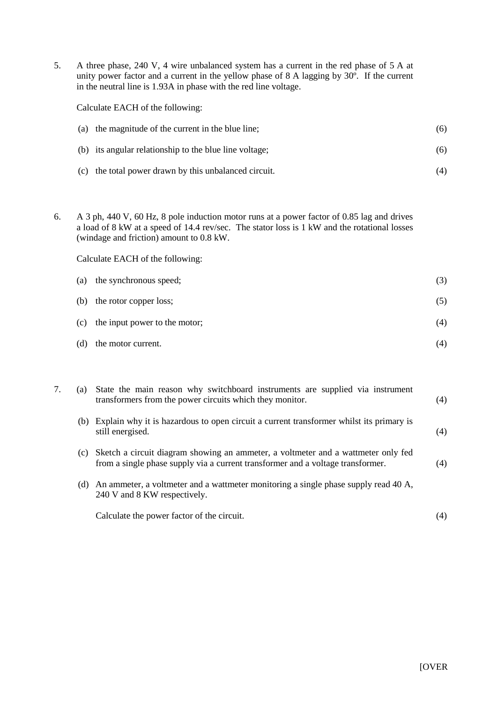5. A three phase, 240 V, 4 wire unbalanced system has a current in the red phase of 5 A at unity power factor and a current in the yellow phase of 8 A lagging by 30º. If the current in the neutral line is 1.93A in phase with the red line voltage.

Calculate EACH of the following:

| (a) the magnitude of the current in the blue line;     | (6) |
|--------------------------------------------------------|-----|
| (b) its angular relationship to the blue line voltage; | (6) |

- (c) the total power drawn by this unbalanced circuit. (4)
- 6. A 3 ph, 440 V, 60 Hz, 8 pole induction motor runs at a power factor of 0.85 lag and drives a load of 8 kW at a speed of 14.4 rev/sec. The stator loss is 1 kW and the rotational losses (windage and friction) amount to 0.8 kW.

Calculate EACH of the following:

| (a) | the synchronous speed;        | (3) |
|-----|-------------------------------|-----|
| (b) | the rotor copper loss;        | (5) |
| (c) | the input power to the motor; | (4) |
| (d) | the motor current.            | (4) |

|     | (a) State the main reason why switchboard instruments are supplied via instrument<br>transformers from the power circuits which they monitor.                        | (4) |
|-----|----------------------------------------------------------------------------------------------------------------------------------------------------------------------|-----|
|     | (b) Explain why it is hazardous to open circuit a current transformer whilst its primary is<br>still energised.                                                      | (4) |
| (c) | Sketch a circuit diagram showing an ammeter, a voltmeter and a wattmeter only fed<br>from a single phase supply via a current transformer and a voltage transformer. | (4) |
| (d) | An ammeter, a voltmeter and a wattmeter monitoring a single phase supply read 40 A,<br>240 V and 8 KW respectively.                                                  |     |
|     | Calculate the power factor of the circuit.                                                                                                                           | (4) |